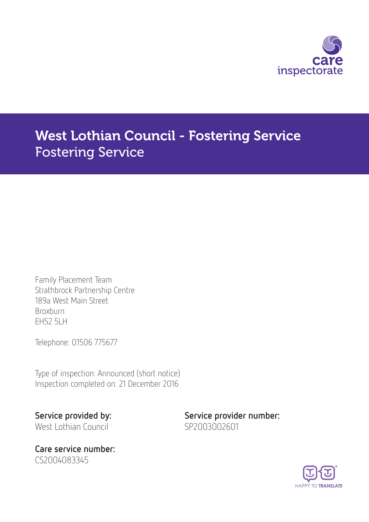

# West Lothian Council - Fostering Service Fostering Service

Family Placement Team Strathbrock Partnership Centre 189a West Main Street Broxburn EH52 5LH

Telephone: 01506 775677

Type of inspection: Announced (short notice) Inspection completed on: 21 December 2016

West Lothian Council SP2003002601

Care service number: CS2004083345

Service provided by: Service provider number:

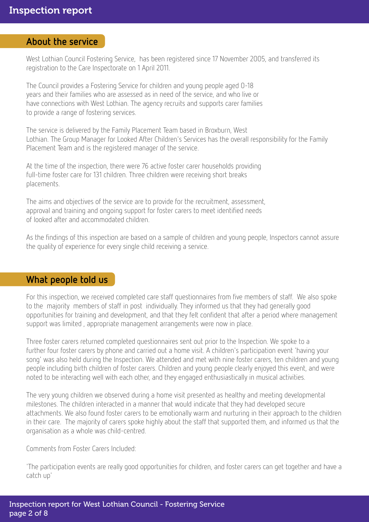#### About the service

West Lothian Council Fostering Service, has been registered since 17 November 2005, and transferred its registration to the Care Inspectorate on 1 April 2011.

The Council provides a Fostering Service for children and young people aged 0-18 years and their families who are assessed as in need of the service, and who live or have connections with West Lothian. The agency recruits and supports carer families to provide a range of fostering services.

The service is delivered by the Family Placement Team based in Broxburn, West Lothian. The Group Manager for Looked After Children's Services has the overall responsibility for the Family Placement Team and is the registered manager of the service.

At the time of the inspection, there were 76 active foster carer households providing full-time foster care for 131 children. Three children were receiving short breaks placements.

The aims and objectives of the service are to provide for the recruitment, assessment, approval and training and ongoing support for foster carers to meet identified needs of looked after and accommodated children.

As the findings of this inspection are based on a sample of children and young people, Inspectors cannot assure the quality of experience for every single child receiving a service.

## What people told us

For this inspection, we received completed care staff questionnaires from five members of staff. We also spoke to the majority members of staff in post individually. They informed us that they had generally good opportunities for training and development, and that they felt confident that after a period where management support was limited , appropriate management arrangements were now in place.

Three foster carers returned completed questionnaires sent out prior to the Inspection. We spoke to a further four foster carers by phone and carried out a home visit. A children's participation event 'having your song' was also held during the Inspection. We attended and met with nine foster carers, ten children and young people including birth children of foster carers. Children and young people clearly enjoyed this event, and were noted to be interacting well with each other, and they engaged enthusiastically in musical activities.

The very young children we observed during a home visit presented as healthy and meeting developmental milestones. The children interacted in a manner that would indicate that they had developed secure attachments. We also found foster carers to be emotionally warm and nurturing in their approach to the children in their care. The majority of carers spoke highly about the staff that supported them, and informed us that the organisation as a whole was child-centred.

Comments from Foster Carers Included:

'The participation events are really good opportunities for children, and foster carers can get together and have a catch up'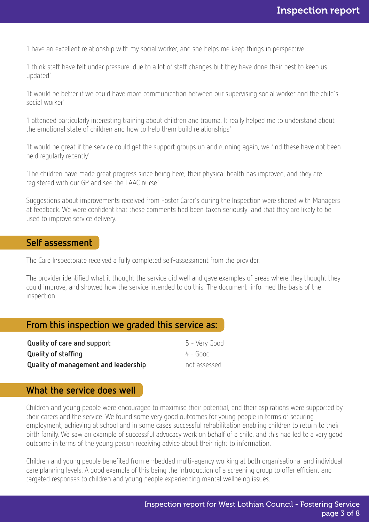'I have an excellent relationship with my social worker, and she helps me keep things in perspective'

'I think staff have felt under pressure, due to a lot of staff changes but they have done their best to keep us updated'

'It would be better if we could have more communication between our supervising social worker and the child's social worker'

'I attended particularly interesting training about children and trauma. It really helped me to understand about the emotional state of children and how to help them build relationships'

'It would be great if the service could get the support groups up and running again, we find these have not been held regularly recently'

'The children have made great progress since being here, their physical health has improved, and they are registered with our GP and see the LAAC nurse'

Suggestions about improvements received from Foster Carer's during the Inspection were shared with Managers at feedback. We were confident that these comments had been taken seriously and that they are likely to be used to improve service delivery.

#### Self assessment

The Care Inspectorate received a fully completed self-assessment from the provider.

The provider identified what it thought the service did well and gave examples of areas where they thought they could improve, and showed how the service intended to do this. The document informed the basis of the inspection.

### From this inspection we graded this service as:

| Quality of care and support          | 5 - Very Good |
|--------------------------------------|---------------|
| <b>Quality of staffing</b>           | 4 - Good      |
| Quality of management and leadership | not assessed  |

### What the service does well

Children and young people were encouraged to maximise their potential, and their aspirations were supported by their carers and the service. We found some very good outcomes for young people in terms of securing employment, achieving at school and in some cases successful rehabilitation enabling children to return to their birth family. We saw an example of successful advocacy work on behalf of a child, and this had led to a very good outcome in terms of the young person receiving advice about their right to information.

Children and young people benefited from embedded multi-agency working at both organisational and individual care planning levels. A good example of this being the introduction of a screening group to offer efficient and targeted responses to children and young people experiencing mental wellbeing issues.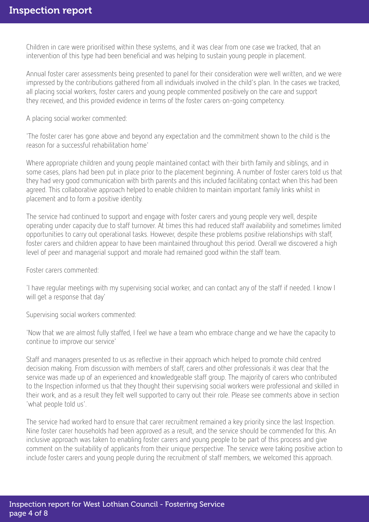Children in care were prioritised within these systems, and it was clear from one case we tracked, that an intervention of this type had been beneficial and was helping to sustain young people in placement.

Annual foster carer assessments being presented to panel for their consideration were well written, and we were impressed by the contributions gathered from all individuals involved in the child's plan. In the cases we tracked, all placing social workers, foster carers and young people commented positively on the care and support they received, and this provided evidence in terms of the foster carers on-going competency.

A placing social worker commented:

'The foster carer has gone above and beyond any expectation and the commitment shown to the child is the reason for a successful rehabilitation home'

Where appropriate children and young people maintained contact with their birth family and siblings, and in some cases, plans had been put in place prior to the placement beginning. A number of foster carers told us that they had very good communication with birth parents and this included facilitating contact when this had been agreed. This collaborative approach helped to enable children to maintain important family links whilst in placement and to form a positive identity.

The service had continued to support and engage with foster carers and young people very well, despite operating under capacity due to staff turnover. At times this had reduced staff availability and sometimes limited opportunities to carry out operational tasks. However, despite these problems positive relationships with staff, foster carers and children appear to have been maintained throughout this period. Overall we discovered a high level of peer and managerial support and morale had remained good within the staff team.

Foster carers commented:

'I have regular meetings with my supervising social worker, and can contact any of the staff if needed. I know I will get a response that day'

Supervising social workers commented:

'Now that we are almost fully staffed, I feel we have a team who embrace change and we have the capacity to continue to improve our service'

Staff and managers presented to us as reflective in their approach which helped to promote child centred decision making. From discussion with members of staff, carers and other professionals it was clear that the service was made up of an experienced and knowledgeable staff group. The majority of carers who contributed to the Inspection informed us that they thought their supervising social workers were professional and skilled in their work, and as a result they felt well supported to carry out their role. Please see comments above in section 'what people told us'.

The service had worked hard to ensure that carer recruitment remained a key priority since the last Inspection. Nine foster carer households had been approved as a result, and the service should be commended for this. An inclusive approach was taken to enabling foster carers and young people to be part of this process and give comment on the suitability of applicants from their unique perspective. The service were taking positive action to include foster carers and young people during the recruitment of staff members, we welcomed this approach.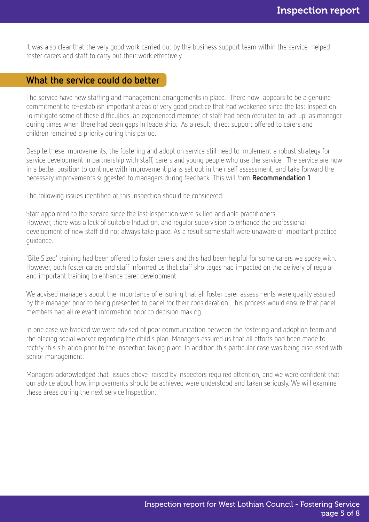It was also clear that the very good work carried out by the business support team within the service helped foster carers and staff to carry out their work effectively.

# What the service could do better

The service have new staffing and management arrangements in place. There now appears to be a genuine commitment to re-establish important areas of very good practice that had weakened since the last Inspection. To mitigate some of these difficulties, an experienced member of staff had been recruited to 'act up' as manager during times when there had been gaps in leadership. As a result, direct support offered to carers and children remained a priority during this period.

Despite these improvements, the fostering and adoption service still need to implement a robust strategy for service development in partnership with staff, carers and young people who use the service. The service are now in a better position to continue with improvement plans set out in their self assessment, and take forward the necessary improvements suggested to managers during feedback. This will form Recommendation 1.

The following issues identified at this inspection should be considered.

Staff appointed to the service since the last Inspection were skilled and able practitioners. However, there was a lack of suitable Induction, and regular supervision to enhance the professional development of new staff did not always take place. As a result some staff were unaware of important practice guidance.

'Bite Sized' training had been offered to foster carers and this had been helpful for some carers we spoke with. However, both foster carers and staff informed us that staff shortages had impacted on the delivery of regular and important training to enhance carer development.

We advised managers about the importance of ensuring that all foster carer assessments were quality assured by the manager prior to being presented to panel for their consideration. This process would ensure that panel members had all relevant information prior to decision making.

In one case we tracked we were advised of poor communication between the fostering and adoption team and the placing social worker regarding the child's plan. Managers assured us that all efforts had been made to rectify this situation prior to the Inspection taking place. In addition this particular case was being discussed with senior management.

Managers acknowledged that issues above raised by Inspectors required attention, and we were confident that our advice about how improvements should be achieved were understood and taken seriously. We will examine these areas during the next service Inspection.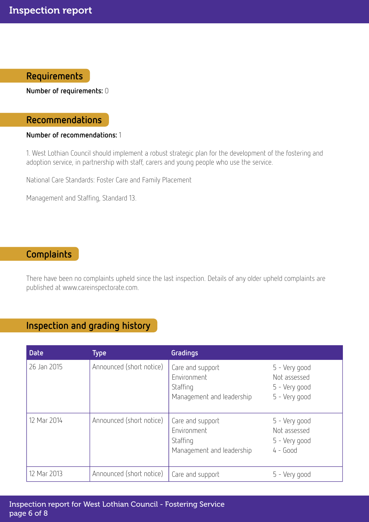# Requirements

Number of requirements: 0

## Recommendations

#### Number of recommendations: 1

1. West Lothian Council should implement a robust strategic plan for the development of the fostering and adoption service, in partnership with staff, carers and young people who use the service.

National Care Standards: Foster Care and Family Placement

Management and Staffing, Standard 13.

## **Complaints**

There have been no complaints upheld since the last inspection. Details of any older upheld complaints are published at www.careinspectorate.com.

# Inspection and grading history

| <b>Date</b> | <b>Type</b>              | Gradings                                                                 |                                                                 |
|-------------|--------------------------|--------------------------------------------------------------------------|-----------------------------------------------------------------|
| 26 Jan 2015 | Announced (short notice) | Care and support<br>Environment<br>Staffing<br>Management and leadership | 5 - Very good<br>Not assessed<br>5 - Very good<br>5 - Very good |
| 12 Mar 2014 | Announced (short notice) | Care and support<br>Environment<br>Staffing<br>Management and leadership | 5 - Very good<br>Not assessed<br>5 - Very good<br>$4 - Good$    |
| 12 Mar 2013 | Announced (short notice) | Care and support                                                         | 5 - Very good                                                   |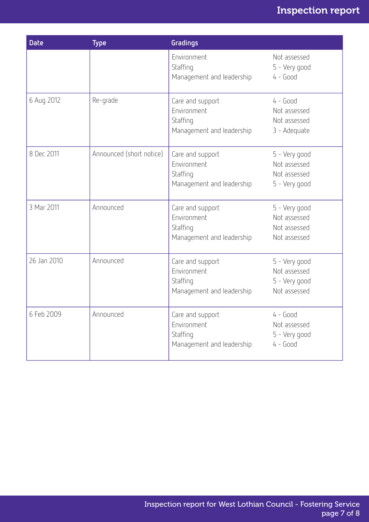# Inspection report

| <b>Date</b> | <b>Type</b>              | Gradings                                                                 |                                                                |
|-------------|--------------------------|--------------------------------------------------------------------------|----------------------------------------------------------------|
|             |                          | Environment<br>Staffing<br>Management and leadership                     | Not assessed<br>5 - Very good<br>$4 - Good$                    |
| 6 Aug 2012  | Re-grade                 | Care and support<br>Environment<br>Staffing<br>Management and leadership | $4 - Good$<br>Not assessed<br>Not assessed<br>3 - Adequate     |
| 8 Dec 2011  | Announced (short notice) | Care and support<br>Environment<br>Staffing<br>Management and leadership | 5 - Very good<br>Not assessed<br>Not assessed<br>5 - Very good |
| 3 Mar 2011  | Announced                | Care and support<br>Environment<br>Staffing<br>Management and leadership | 5 - Very good<br>Not assessed<br>Not assessed<br>Not assessed  |
| 26 Jan 2010 | Announced                | Care and support<br>Environment<br>Staffing<br>Management and leadership | 5 - Very good<br>Not assessed<br>5 - Very good<br>Not assessed |
| 6 Feb 2009  | Announced                | Care and support<br>Environment<br>Staffing<br>Management and leadership | 4 - Good<br>Not assessed<br>5 - Very good<br>$4 - Good$        |